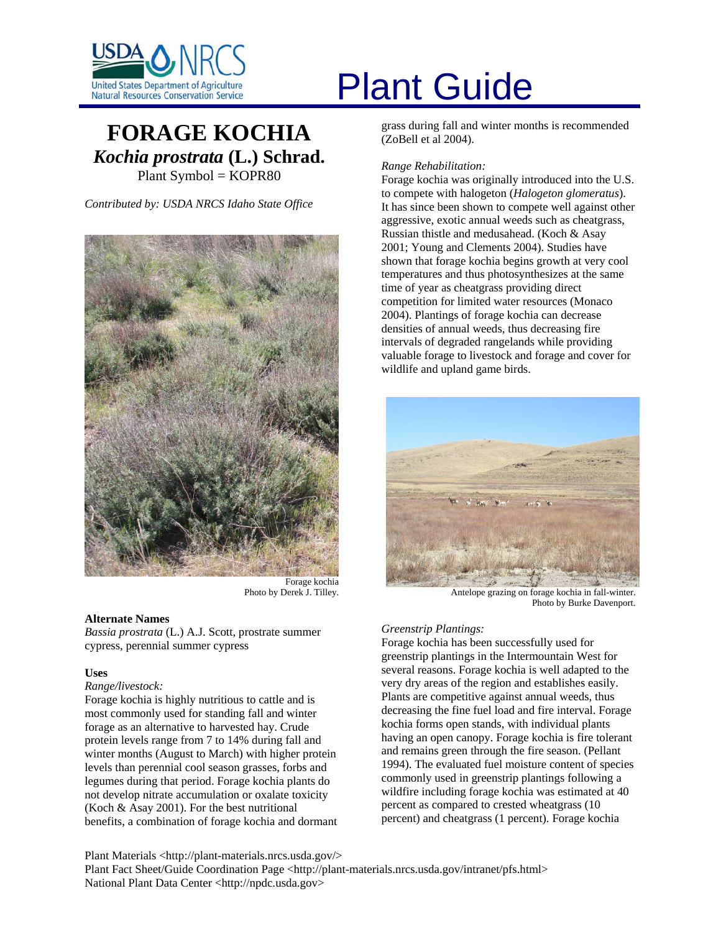

# **FORAGE KOCHIA** *Kochia prostrata* **(L.) Schrad.** Plant Symbol = KOPR80

*Contributed by: USDA NRCS Idaho State Office* 



Forage kochia Photo by Derek J. Tilley.

# **Alternate Names**

*Bassia prostrata* (L.) A.J. Scott, prostrate summer cypress, perennial summer cypress

# **Uses**

# *Range/livestock:*

Forage kochia is highly nutritious to cattle and is most commonly used for standing fall and winter forage as an alternative to harvested hay. Crude protein levels range from 7 to 14% during fall and winter months (August to March) with higher protein levels than perennial cool season grasses, forbs and legumes during that period. Forage kochia plants do not develop nitrate accumulation or oxalate toxicity (Koch & Asay 2001). For the best nutritional benefits, a combination of forage kochia and dormant

# United States Department of Agriculture<br>Natural Resources Conservation Service

grass during fall and winter months is recommended (ZoBell et al 2004).

# *Range Rehabilitation:*

Forage kochia was originally introduced into the U.S. to compete with halogeton (*Halogeton glomeratus*). It has since been shown to compete well against other aggressive, exotic annual weeds such as cheatgrass, Russian thistle and medusahead. (Koch & Asay 2001; Young and Clements 2004). Studies have shown that forage kochia begins growth at very cool temperatures and thus photosynthesizes at the same time of year as cheatgrass providing direct competition for limited water resources (Monaco 2004). Plantings of forage kochia can decrease densities of annual weeds, thus decreasing fire intervals of degraded rangelands while providing valuable forage to livestock and forage and cover for wildlife and upland game birds.



Antelope grazing on forage kochia in fall-winter. Photo by Burke Davenport.

# *Greenstrip Plantings:*

Forage kochia has been successfully used for greenstrip plantings in the Intermountain West for several reasons. Forage kochia is well adapted to the very dry areas of the region and establishes easily. Plants are competitive against annual weeds, thus decreasing the fine fuel load and fire interval. Forage kochia forms open stands, with individual plants having an open canopy. Forage kochia is fire tolerant and remains green through the fire season. (Pellant 1994). The evaluated fuel moisture content of species commonly used in greenstrip plantings following a wildfire including forage kochia was estimated at 40 percent as compared to crested wheatgrass (10 percent) and cheatgrass (1 percent). Forage kochia

Plant Materials <http://plant-materials.nrcs.usda.gov/> Plant Fact Sheet/Guide Coordination Page <http://plant-materials.nrcs.usda.gov/intranet/pfs.html> National Plant Data Center <http://npdc.usda.gov>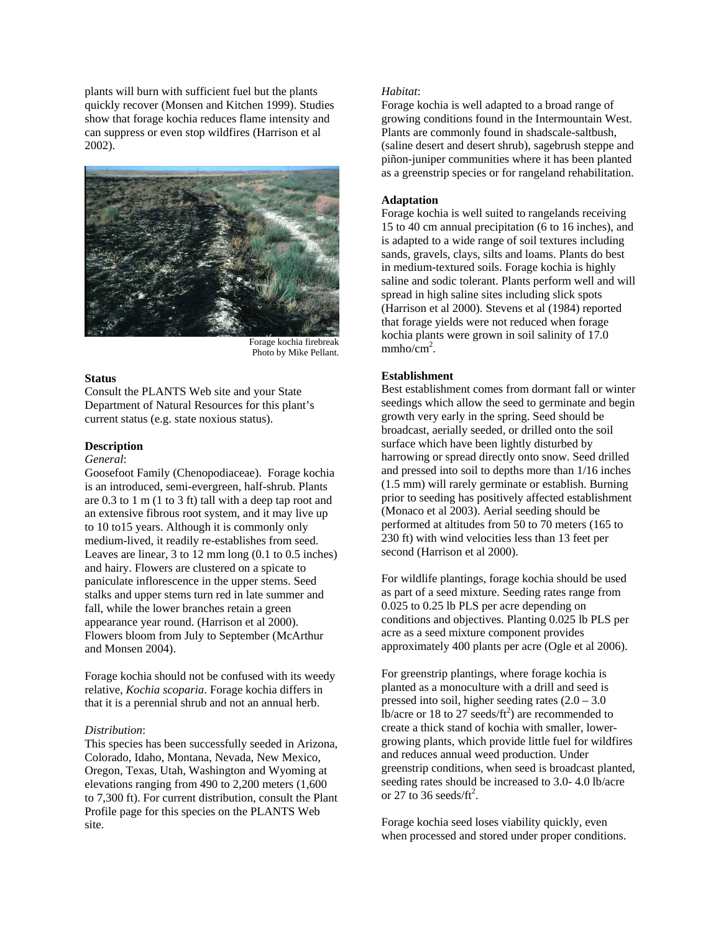plants will burn with sufficient fuel but the plants quickly recover (Monsen and Kitchen 1999). Studies show that forage kochia reduces flame intensity and can suppress or even stop wildfires (Harrison et al 2002).



Forage kochia firebreak Photo by Mike Pellant.

#### **Status**

Consult the PLANTS Web site and your State Department of Natural Resources for this plant's current status (e.g. state noxious status).

# **Description**

# *General*:

Goosefoot Family (Chenopodiaceae). Forage kochia is an introduced, semi-evergreen, half-shrub. Plants are 0.3 to 1 m (1 to 3 ft) tall with a deep tap root and an extensive fibrous root system, and it may live up to 10 to15 years. Although it is commonly only medium-lived, it readily re-establishes from seed. Leaves are linear, 3 to 12 mm long (0.1 to 0.5 inches) and hairy. Flowers are clustered on a spicate to paniculate inflorescence in the upper stems. Seed stalks and upper stems turn red in late summer and fall, while the lower branches retain a green appearance year round. (Harrison et al 2000). Flowers bloom from July to September (McArthur and Monsen 2004).

Forage kochia should not be confused with its weedy relative, *Kochia scoparia*. Forage kochia differs in that it is a perennial shrub and not an annual herb.

# *Distribution*:

This species has been successfully seeded in Arizona, Colorado, Idaho, Montana, Nevada, New Mexico, Oregon, Texas, Utah, Washington and Wyoming at elevations ranging from 490 to 2,200 meters (1,600 to 7,300 ft). For current distribution, consult the Plant Profile page for this species on the PLANTS Web site.

# *Habitat*:

Forage kochia is well adapted to a broad range of growing conditions found in the Intermountain West. Plants are commonly found in shadscale-saltbush, (saline desert and desert shrub), sagebrush steppe and piñon-juniper communities where it has been planted as a greenstrip species or for rangeland rehabilitation.

#### **Adaptation**

Forage kochia is well suited to rangelands receiving 15 to 40 cm annual precipitation (6 to 16 inches), and is adapted to a wide range of soil textures including sands, gravels, clays, silts and loams. Plants do best in medium-textured soils. Forage kochia is highly saline and sodic tolerant. Plants perform well and will spread in high saline sites including slick spots (Harrison et al 2000). Stevens et al (1984) reported that forage yields were not reduced when forage kochia plants were grown in soil salinity of 17.0  $mmho/cm<sup>2</sup>$ .

# **Establishment**

Best establishment comes from dormant fall or winter seedings which allow the seed to germinate and begin growth very early in the spring. Seed should be broadcast, aerially seeded, or drilled onto the soil surface which have been lightly disturbed by harrowing or spread directly onto snow. Seed drilled and pressed into soil to depths more than 1/16 inches (1.5 mm) will rarely germinate or establish. Burning prior to seeding has positively affected establishment (Monaco et al 2003). Aerial seeding should be performed at altitudes from 50 to 70 meters (165 to 230 ft) with wind velocities less than 13 feet per second (Harrison et al 2000).

For wildlife plantings, forage kochia should be used as part of a seed mixture. Seeding rates range from 0.025 to 0.25 lb PLS per acre depending on conditions and objectives. Planting 0.025 lb PLS per acre as a seed mixture component provides approximately 400 plants per acre (Ogle et al 2006).

For greenstrip plantings, where forage kochia is planted as a monoculture with a drill and seed is pressed into soil, higher seeding rates  $(2.0 - 3.0)$ lb/acre or 18 to 27 seeds/ $ft^2$ ) are recommended to create a thick stand of kochia with smaller, lowergrowing plants, which provide little fuel for wildfires and reduces annual weed production. Under greenstrip conditions, when seed is broadcast planted, seeding rates should be increased to 3.0- 4.0 lb/acre or 27 to 36 seeds/ft<sup>2</sup>.

Forage kochia seed loses viability quickly, even when processed and stored under proper conditions.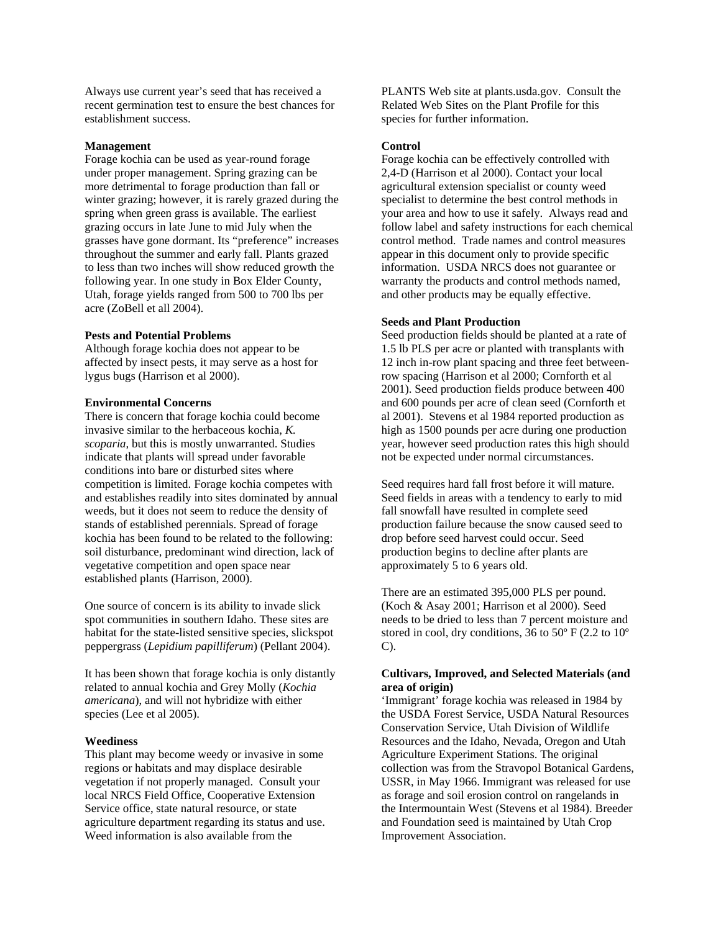Always use current year's seed that has received a recent germination test to ensure the best chances for establishment success.

#### **Management**

Forage kochia can be used as year-round forage under proper management. Spring grazing can be more detrimental to forage production than fall or winter grazing; however, it is rarely grazed during the spring when green grass is available. The earliest grazing occurs in late June to mid July when the grasses have gone dormant. Its "preference" increases throughout the summer and early fall. Plants grazed to less than two inches will show reduced growth the following year. In one study in Box Elder County, Utah, forage yields ranged from 500 to 700 lbs per acre (ZoBell et all 2004).

#### **Pests and Potential Problems**

Although forage kochia does not appear to be affected by insect pests, it may serve as a host for lygus bugs (Harrison et al 2000).

# **Environmental Concerns**

There is concern that forage kochia could become invasive similar to the herbaceous kochia, *K. scoparia*, but this is mostly unwarranted. Studies indicate that plants will spread under favorable conditions into bare or disturbed sites where competition is limited. Forage kochia competes with and establishes readily into sites dominated by annual weeds, but it does not seem to reduce the density of stands of established perennials. Spread of forage kochia has been found to be related to the following: soil disturbance, predominant wind direction, lack of vegetative competition and open space near established plants (Harrison, 2000).

One source of concern is its ability to invade slick spot communities in southern Idaho. These sites are habitat for the state-listed sensitive species, slickspot peppergrass (*Lepidium papilliferum*) (Pellant 2004).

It has been shown that forage kochia is only distantly related to annual kochia and Grey Molly (*Kochia americana*), and will not hybridize with either species (Lee et al 2005).

#### **Weediness**

This plant may become weedy or invasive in some regions or habitats and may displace desirable vegetation if not properly managed. Consult your local NRCS Field Office, Cooperative Extension Service office, state natural resource, or state agriculture department regarding its status and use. Weed information is also available from the

PLANTS Web site at plants.usda.gov. Consult the Related Web Sites on the Plant Profile for this species for further information.

#### **Control**

Forage kochia can be effectively controlled with 2,4-D (Harrison et al 2000). Contact your local agricultural extension specialist or county weed specialist to determine the best control methods in your area and how to use it safely. Always read and follow label and safety instructions for each chemical control method. Trade names and control measures appear in this document only to provide specific information. USDA NRCS does not guarantee or warranty the products and control methods named, and other products may be equally effective.

#### **Seeds and Plant Production**

Seed production fields should be planted at a rate of 1.5 lb PLS per acre or planted with transplants with 12 inch in-row plant spacing and three feet betweenrow spacing (Harrison et al 2000; Cornforth et al 2001). Seed production fields produce between 400 and 600 pounds per acre of clean seed (Cornforth et al 2001). Stevens et al 1984 reported production as high as 1500 pounds per acre during one production year, however seed production rates this high should not be expected under normal circumstances.

Seed requires hard fall frost before it will mature. Seed fields in areas with a tendency to early to mid fall snowfall have resulted in complete seed production failure because the snow caused seed to drop before seed harvest could occur. Seed production begins to decline after plants are approximately 5 to 6 years old.

There are an estimated 395,000 PLS per pound. (Koch & Asay 2001; Harrison et al 2000). Seed needs to be dried to less than 7 percent moisture and stored in cool, dry conditions, 36 to 50º F (2.2 to 10º C).

# **Cultivars, Improved, and Selected Materials (and area of origin)**

'Immigrant' forage kochia was released in 1984 by the USDA Forest Service, USDA Natural Resources Conservation Service, Utah Division of Wildlife Resources and the Idaho, Nevada, Oregon and Utah Agriculture Experiment Stations. The original collection was from the Stravopol Botanical Gardens, USSR, in May 1966. Immigrant was released for use as forage and soil erosion control on rangelands in the Intermountain West (Stevens et al 1984). Breeder and Foundation seed is maintained by Utah Crop Improvement Association.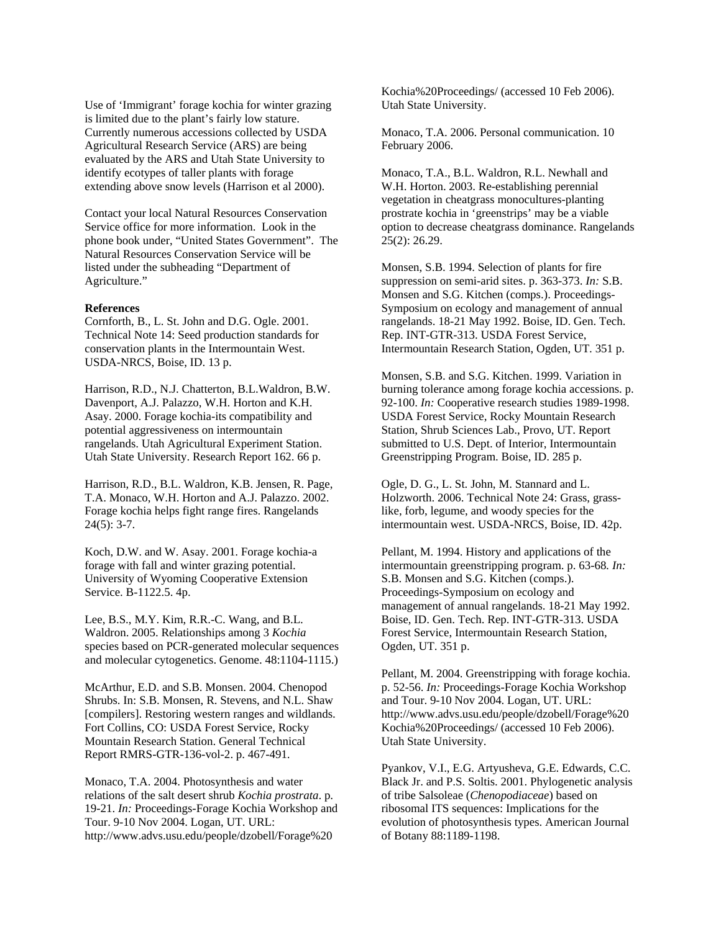Use of 'Immigrant' forage kochia for winter grazing is limited due to the plant's fairly low stature. Currently numerous accessions collected by USDA Agricultural Research Service (ARS) are being evaluated by the ARS and Utah State University to identify ecotypes of taller plants with forage extending above snow levels (Harrison et al 2000).

Contact your local Natural Resources Conservation Service office for more information. Look in the phone book under, "United States Government". The Natural Resources Conservation Service will be listed under the subheading "Department of Agriculture."

#### **References**

Cornforth, B., L. St. John and D.G. Ogle. 2001. Technical Note 14: Seed production standards for conservation plants in the Intermountain West. USDA-NRCS, Boise, ID. 13 p.

Harrison, R.D., N.J. Chatterton, B.L.Waldron, B.W. Davenport, A.J. Palazzo, W.H. Horton and K.H. Asay. 2000. Forage kochia-its compatibility and potential aggressiveness on intermountain rangelands. Utah Agricultural Experiment Station. Utah State University. Research Report 162. 66 p.

Harrison, R.D., B.L. Waldron, K.B. Jensen, R. Page, T.A. Monaco, W.H. Horton and A.J. Palazzo. 2002. Forage kochia helps fight range fires. Rangelands  $24(5): 3-7.$ 

Koch, D.W. and W. Asay. 2001. Forage kochia-a forage with fall and winter grazing potential. University of Wyoming Cooperative Extension Service. B-1122.5. 4p.

Lee, B.S., M.Y. Kim, R.R.-C. Wang, and B.L. Waldron. 2005. Relationships among 3 *Kochia* species based on PCR-generated molecular sequences and molecular cytogenetics. Genome. 48:1104-1115.)

McArthur, E.D. and S.B. Monsen. 2004. Chenopod Shrubs. In: S.B. Monsen, R. Stevens, and N.L. Shaw [compilers]. Restoring western ranges and wildlands. Fort Collins, CO: USDA Forest Service, Rocky Mountain Research Station. General Technical Report RMRS-GTR-136-vol-2. p. 467-491.

Monaco, T.A. 2004. Photosynthesis and water relations of the salt desert shrub *Kochia prostrata*. p. 19-21. *In:* Proceedings-Forage Kochia Workshop and Tour. 9-10 Nov 2004. Logan, UT. URL: http://www.advs.usu.edu/people/dzobell/Forage%20

Kochia%20Proceedings/ (accessed 10 Feb 2006). Utah State University.

Monaco, T.A. 2006. Personal communication. 10 February 2006.

Monaco, T.A., B.L. Waldron, R.L. Newhall and W.H. Horton. 2003. Re-establishing perennial vegetation in cheatgrass monocultures-planting prostrate kochia in 'greenstrips' may be a viable option to decrease cheatgrass dominance. Rangelands 25(2): 26.29.

Monsen, S.B. 1994. Selection of plants for fire suppression on semi-arid sites. p. 363-373. *In:* S.B. Monsen and S.G. Kitchen (comps.). Proceedings-Symposium on ecology and management of annual rangelands. 18-21 May 1992. Boise, ID. Gen. Tech. Rep. INT-GTR-313. USDA Forest Service, Intermountain Research Station, Ogden, UT. 351 p.

Monsen, S.B. and S.G. Kitchen. 1999. Variation in burning tolerance among forage kochia accessions. p. 92-100. *In:* Cooperative research studies 1989-1998. USDA Forest Service, Rocky Mountain Research Station, Shrub Sciences Lab., Provo, UT. Report submitted to U.S. Dept. of Interior, Intermountain Greenstripping Program. Boise, ID. 285 p.

Ogle, D. G., L. St. John, M. Stannard and L. Holzworth. 2006. Technical Note 24: Grass, grasslike, forb, legume, and woody species for the intermountain west. USDA-NRCS, Boise, ID. 42p.

Pellant, M. 1994. History and applications of the intermountain greenstripping program. p. 63-68*. In:* S.B. Monsen and S.G. Kitchen (comps.). Proceedings-Symposium on ecology and management of annual rangelands. 18-21 May 1992. Boise, ID. Gen. Tech. Rep. INT-GTR-313. USDA Forest Service, Intermountain Research Station, Ogden, UT. 351 p.

Pellant, M. 2004. Greenstripping with forage kochia. p. 52-56. *In:* Proceedings-Forage Kochia Workshop and Tour. 9-10 Nov 2004. Logan, UT. URL: http://www.advs.usu.edu/people/dzobell/Forage%20 Kochia%20Proceedings/ (accessed 10 Feb 2006). Utah State University.

Pyankov, V.I., E.G. Artyusheva, G.E. Edwards, C.C. Black Jr. and P.S. Soltis. 2001. Phylogenetic analysis of tribe Salsoleae (*Chenopodiaceae*) based on ribosomal ITS sequences: Implications for the evolution of photosynthesis types. American Journal of Botany 88:1189-1198.